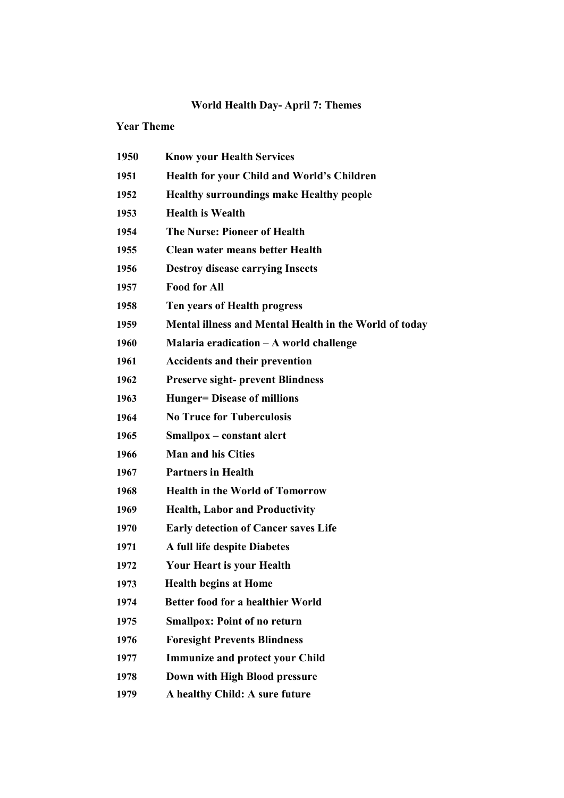## World Health Day- April 7: Themes

## Year Theme

| 1950 | <b>Know your Health Services</b>                       |
|------|--------------------------------------------------------|
| 1951 | <b>Health for your Child and World's Children</b>      |
| 1952 | <b>Healthy surroundings make Healthy people</b>        |
| 1953 | <b>Health is Wealth</b>                                |
| 1954 | <b>The Nurse: Pioneer of Health</b>                    |
| 1955 | <b>Clean water means better Health</b>                 |
| 1956 | <b>Destroy disease carrying Insects</b>                |
| 1957 | <b>Food for All</b>                                    |
| 1958 | Ten years of Health progress                           |
| 1959 | Mental illness and Mental Health in the World of today |
| 1960 | Malaria eradication $-A$ world challenge               |
| 1961 | <b>Accidents and their prevention</b>                  |
| 1962 | <b>Preserve sight- prevent Blindness</b>               |
| 1963 | <b>Hunger=</b> Disease of millions                     |
| 1964 | <b>No Truce for Tuberculosis</b>                       |
| 1965 | Smallpox – constant alert                              |
| 1966 | <b>Man and his Cities</b>                              |
| 1967 | <b>Partners in Health</b>                              |
| 1968 | <b>Health in the World of Tomorrow</b>                 |
| 1969 | <b>Health, Labor and Productivity</b>                  |
| 1970 | <b>Early detection of Cancer saves Life</b>            |
| 1971 | A full life despite Diabetes                           |
| 1972 | <b>Your Heart is your Health</b>                       |
| 1973 | <b>Health begins at Home</b>                           |
| 1974 | Better food for a healthier World                      |
| 1975 | <b>Smallpox: Point of no return</b>                    |
| 1976 | <b>Foresight Prevents Blindness</b>                    |
| 1977 | <b>Immunize and protect your Child</b>                 |
| 1978 | Down with High Blood pressure                          |
| 1979 | A healthy Child: A sure future                         |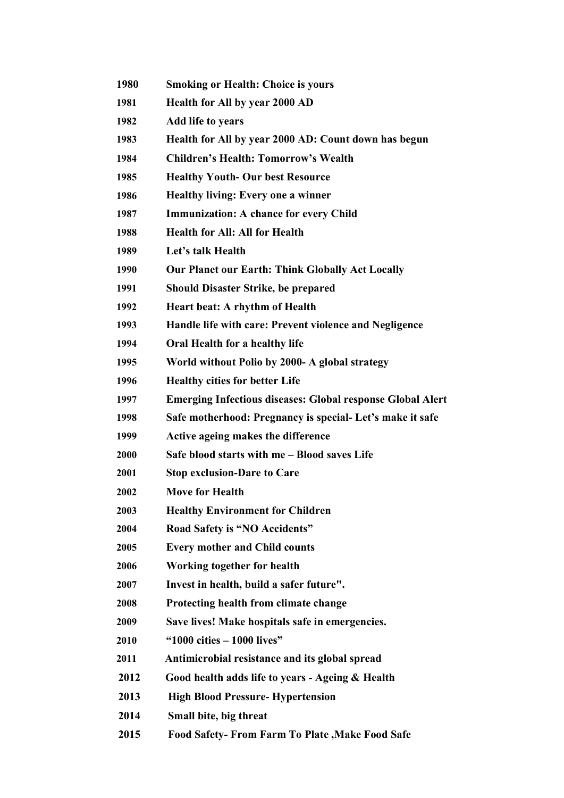| 1980 | <b>Smoking or Health: Choice is yours</b>                         |
|------|-------------------------------------------------------------------|
| 1981 | Health for All by year 2000 AD                                    |
| 1982 | Add life to years                                                 |
| 1983 | Health for All by year 2000 AD: Count down has begun              |
| 1984 | <b>Children's Health: Tomorrow's Wealth</b>                       |
| 1985 | <b>Healthy Youth- Our best Resource</b>                           |
| 1986 | <b>Healthy living: Every one a winner</b>                         |
| 1987 | <b>Immunization: A chance for every Child</b>                     |
| 1988 | <b>Health for All: All for Health</b>                             |
| 1989 | Let's talk Health                                                 |
| 1990 | <b>Our Planet our Earth: Think Globally Act Locally</b>           |
| 1991 | <b>Should Disaster Strike, be prepared</b>                        |
| 1992 | Heart beat: A rhythm of Health                                    |
| 1993 | Handle life with care: Prevent violence and Negligence            |
| 1994 | Oral Health for a healthy life                                    |
| 1995 | World without Polio by 2000- A global strategy                    |
| 1996 | <b>Healthy cities for better Life</b>                             |
| 1997 | <b>Emerging Infectious diseases: Global response Global Alert</b> |
| 1998 | Safe motherhood: Pregnancy is special-Let's make it safe          |
| 1999 | Active ageing makes the difference                                |
| 2000 | Safe blood starts with me - Blood saves Life                      |
| 2001 | <b>Stop exclusion-Dare to Care</b>                                |
| 2002 | <b>Move for Health</b>                                            |
| 2003 | <b>Healthy Environment for Children</b>                           |
| 2004 | Road Safety is "NO Accidents"                                     |
| 2005 | <b>Every mother and Child counts</b>                              |
| 2006 | Working together for health                                       |
| 2007 | Invest in health, build a safer future".                          |
| 2008 | Protecting health from climate change                             |
| 2009 | Save lives! Make hospitals safe in emergencies.                   |
| 2010 | " $1000$ cities $-1000$ lives"                                    |
| 2011 | Antimicrobial resistance and its global spread                    |
| 2012 | Good health adds life to years - Ageing & Health                  |
| 2013 | <b>High Blood Pressure- Hypertension</b>                          |
| 2014 | Small bite, big threat                                            |
| 2015 | <b>Food Safety-From Farm To Plate , Make Food Safe</b>            |